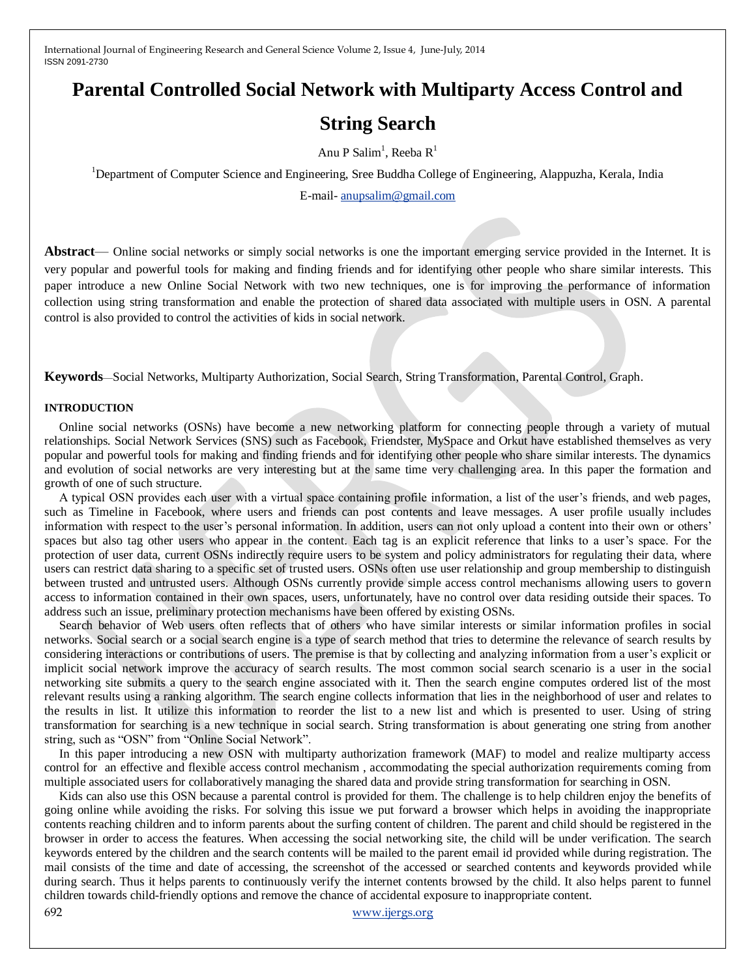# **Parental Controlled Social Network with Multiparty Access Control and**

# **String Search**

Anu P Salim<sup>1</sup>, Reeba R<sup>1</sup>

<sup>1</sup>Department of Computer Science and Engineering, Sree Buddha College of Engineering, Alappuzha, Kerala, India

E-mail- [anupsalim@gmail.com](mailto:anupsalim@gmail.com)

**Abstract**— Online social networks or simply social networks is one the important emerging service provided in the Internet. It is very popular and powerful tools for making and finding friends and for identifying other people who share similar interests. This paper introduce a new Online Social Network with two new techniques, one is for improving the performance of information collection using string transformation and enable the protection of shared data associated with multiple users in OSN. A parental control is also provided to control the activities of kids in social network.

**Keywords**—Social Networks, Multiparty Authorization, Social Search, String Transformation, Parental Control, Graph.

#### **INTRODUCTION**

Online social networks (OSNs) have become a new networking platform for connecting people through a variety of mutual relationships. Social Network Services (SNS) such as Facebook, Friendster, MySpace and Orkut have established themselves as very popular and powerful tools for making and finding friends and for identifying other people who share similar interests. The dynamics and evolution of social networks are very interesting but at the same time very challenging area. In this paper the formation and growth of one of such structure.

A typical OSN provides each user with a virtual space containing profile information, a list of the user's friends, and web pages, such as Timeline in Facebook, where users and friends can post contents and leave messages. A user profile usually includes information with respect to the user's personal information. In addition, users can not only upload a content into their own or others' spaces but also tag other users who appear in the content. Each tag is an explicit reference that links to a user's space. For the protection of user data, current OSNs indirectly require users to be system and policy administrators for regulating their data, where users can restrict data sharing to a specific set of trusted users. OSNs often use user relationship and group membership to distinguish between trusted and untrusted users. Although OSNs currently provide simple access control mechanisms allowing users to govern access to information contained in their own spaces, users, unfortunately, have no control over data residing outside their spaces. To address such an issue, preliminary protection mechanisms have been offered by existing OSNs.

Search behavior of Web users often reflects that of others who have similar interests or similar information profiles in social networks. Social search or a social search engine is a type of search method that tries to determine the relevance of search results by considering interactions or contributions of users. The premise is that by collecting and analyzing information from a user's explicit or implicit social network improve the accuracy of search results. The most common social search scenario is a user in the social networking site submits a query to the search engine associated with it. Then the search engine computes ordered list of the most relevant results using a ranking algorithm. The search engine collects information that lies in the neighborhood of user and relates to the results in list. It utilize this information to reorder the list to a new list and which is presented to user. Using of string transformation for searching is a new technique in social search. String transformation is about generating one string from another string, such as "OSN" from "Online Social Network".

In this paper introducing a new OSN with multiparty authorization framework (MAF) to model and realize multiparty access control for an effective and flexible access control mechanism , accommodating the special authorization requirements coming from multiple associated users for collaboratively managing the shared data and provide string transformation for searching in OSN.

692 [www.ijergs.org](http://www.ijergs.org/) Kids can also use this OSN because a parental control is provided for them. The challenge is to help children enjoy the benefits of going online while avoiding the risks. For solving this issue we put forward a browser which helps in avoiding the inappropriate contents reaching children and to inform parents about the surfing content of children. The parent and child should be registered in the browser in order to access the features. When accessing the social networking site, the child will be under verification. The search keywords entered by the children and the search contents will be mailed to the parent email id provided while during registration. The mail consists of the time and date of accessing, the screenshot of the accessed or searched contents and keywords provided while during search. Thus it helps parents to continuously verify the internet contents browsed by the child. It also helps parent to funnel children towards child-friendly options and remove the chance of accidental exposure to inappropriate content.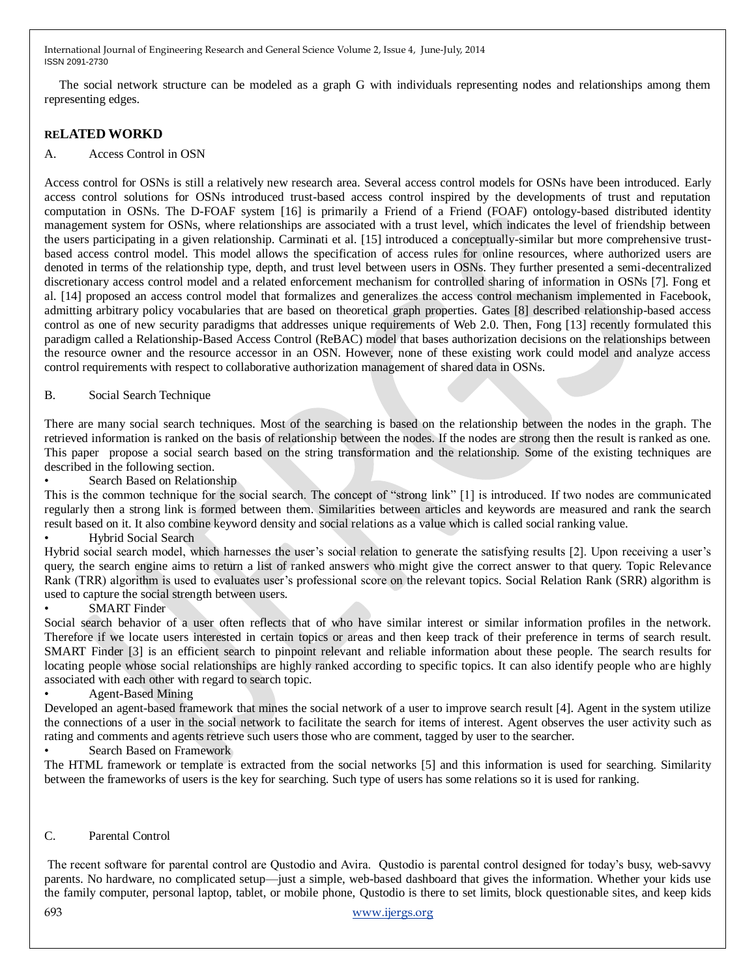The social network structure can be modeled as a graph G with individuals representing nodes and relationships among them representing edges.

# **RELATED WORKD**

## A. Access Control in OSN

Access control for OSNs is still a relatively new research area. Several access control models for OSNs have been introduced. Early access control solutions for OSNs introduced trust-based access control inspired by the developments of trust and reputation computation in OSNs. The D-FOAF system [16] is primarily a Friend of a Friend (FOAF) ontology-based distributed identity management system for OSNs, where relationships are associated with a trust level, which indicates the level of friendship between the users participating in a given relationship. Carminati et al. [15] introduced a conceptually-similar but more comprehensive trustbased access control model. This model allows the specification of access rules for online resources, where authorized users are denoted in terms of the relationship type, depth, and trust level between users in OSNs. They further presented a semi-decentralized discretionary access control model and a related enforcement mechanism for controlled sharing of information in OSNs [7]. Fong et al. [14] proposed an access control model that formalizes and generalizes the access control mechanism implemented in Facebook, admitting arbitrary policy vocabularies that are based on theoretical graph properties. Gates [8] described relationship-based access control as one of new security paradigms that addresses unique requirements of Web 2.0. Then, Fong [13] recently formulated this paradigm called a Relationship-Based Access Control (ReBAC) model that bases authorization decisions on the relationships between the resource owner and the resource accessor in an OSN. However, none of these existing work could model and analyze access control requirements with respect to collaborative authorization management of shared data in OSNs.

## B. Social Search Technique

There are many social search techniques. Most of the searching is based on the relationship between the nodes in the graph. The retrieved information is ranked on the basis of relationship between the nodes. If the nodes are strong then the result is ranked as one. This paper propose a social search based on the string transformation and the relationship. Some of the existing techniques are described in the following section.

Search Based on Relationship

This is the common technique for the social search. The concept of "strong link" [1] is introduced. If two nodes are communicated regularly then a strong link is formed between them. Similarities between articles and keywords are measured and rank the search result based on it. It also combine keyword density and social relations as a value which is called social ranking value.

### • Hybrid Social Search

Hybrid social search model, which harnesses the user's social relation to generate the satisfying results [2]. Upon receiving a user's query, the search engine aims to return a list of ranked answers who might give the correct answer to that query. Topic Relevance Rank (TRR) algorithm is used to evaluates user's professional score on the relevant topics. Social Relation Rank (SRR) algorithm is used to capture the social strength between users.

### **SMART** Finder

Social search behavior of a user often reflects that of who have similar interest or similar information profiles in the network. Therefore if we locate users interested in certain topics or areas and then keep track of their preference in terms of search result. SMART Finder [3] is an efficient search to pinpoint relevant and reliable information about these people. The search results for locating people whose social relationships are highly ranked according to specific topics. It can also identify people who are highly associated with each other with regard to search topic.

# • Agent-Based Mining

Developed an agent-based framework that mines the social network of a user to improve search result [4]. Agent in the system utilize the connections of a user in the social network to facilitate the search for items of interest. Agent observes the user activity such as rating and comments and agents retrieve such users those who are comment, tagged by user to the searcher.

# • Search Based on Framework

The HTML framework or template is extracted from the social networks [5] and this information is used for searching. Similarity between the frameworks of users is the key for searching. Such type of users has some relations so it is used for ranking.

# C. Parental Control

693 [www.ijergs.org](http://www.ijergs.org/) The recent software for parental control are Qustodio and Avira. Qustodio is parental control designed for today's busy, web-savvy parents. No hardware, no complicated setup—just a simple, web-based dashboard that gives the information. Whether your kids use the family computer, personal laptop, tablet, or mobile phone, Qustodio is there to set limits, block questionable sites, and keep kids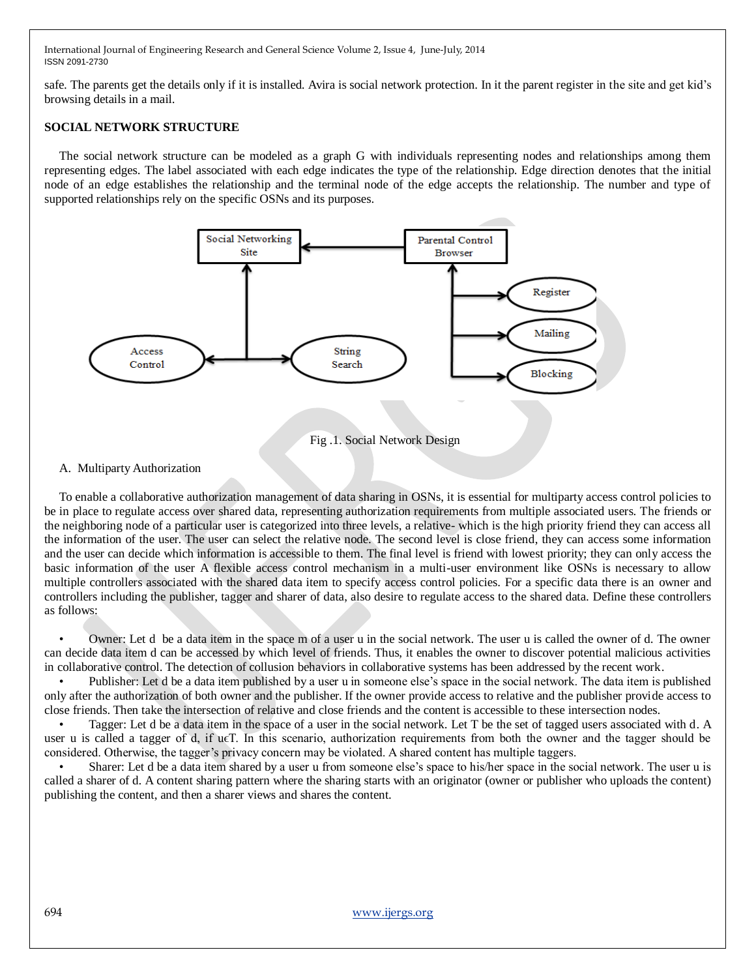safe. The parents get the details only if it is installed. Avira is social network protection. In it the parent register in the site and get kid's browsing details in a mail.

### **SOCIAL NETWORK STRUCTURE**

The social network structure can be modeled as a graph G with individuals representing nodes and relationships among them representing edges. The label associated with each edge indicates the type of the relationship. Edge direction denotes that the initial node of an edge establishes the relationship and the terminal node of the edge accepts the relationship. The number and type of supported relationships rely on the specific OSNs and its purposes.



### A. Multiparty Authorization

To enable a collaborative authorization management of data sharing in OSNs, it is essential for multiparty access control policies to be in place to regulate access over shared data, representing authorization requirements from multiple associated users. The friends or the neighboring node of a particular user is categorized into three levels, a relative- which is the high priority friend they can access all the information of the user. The user can select the relative node. The second level is close friend, they can access some information and the user can decide which information is accessible to them. The final level is friend with lowest priority; they can only access the basic information of the user A flexible access control mechanism in a multi-user environment like OSNs is necessary to allow multiple controllers associated with the shared data item to specify access control policies. For a specific data there is an owner and controllers including the publisher, tagger and sharer of data, also desire to regulate access to the shared data. Define these controllers as follows:

Owner: Let d be a data item in the space m of a user u in the social network. The user u is called the owner of d. The owner can decide data item d can be accessed by which level of friends. Thus, it enables the owner to discover potential malicious activities in collaborative control. The detection of collusion behaviors in collaborative systems has been addressed by the recent work.

• Publisher: Let d be a data item published by a user u in someone else's space in the social network. The data item is published only after the authorization of both owner and the publisher. If the owner provide access to relative and the publisher provide access to close friends. Then take the intersection of relative and close friends and the content is accessible to these intersection nodes.

• Tagger: Let d be a data item in the space of a user in the social network. Let T be the set of tagged users associated with d. A user u is called a tagger of d, if u $\epsilon$ T. In this scenario, authorization requirements from both the owner and the tagger should be considered. Otherwise, the tagger's privacy concern may be violated. A shared content has multiple taggers.

• Sharer: Let d be a data item shared by a user u from someone else's space to his/her space in the social network. The user u is called a sharer of d. A content sharing pattern where the sharing starts with an originator (owner or publisher who uploads the content) publishing the content, and then a sharer views and shares the content.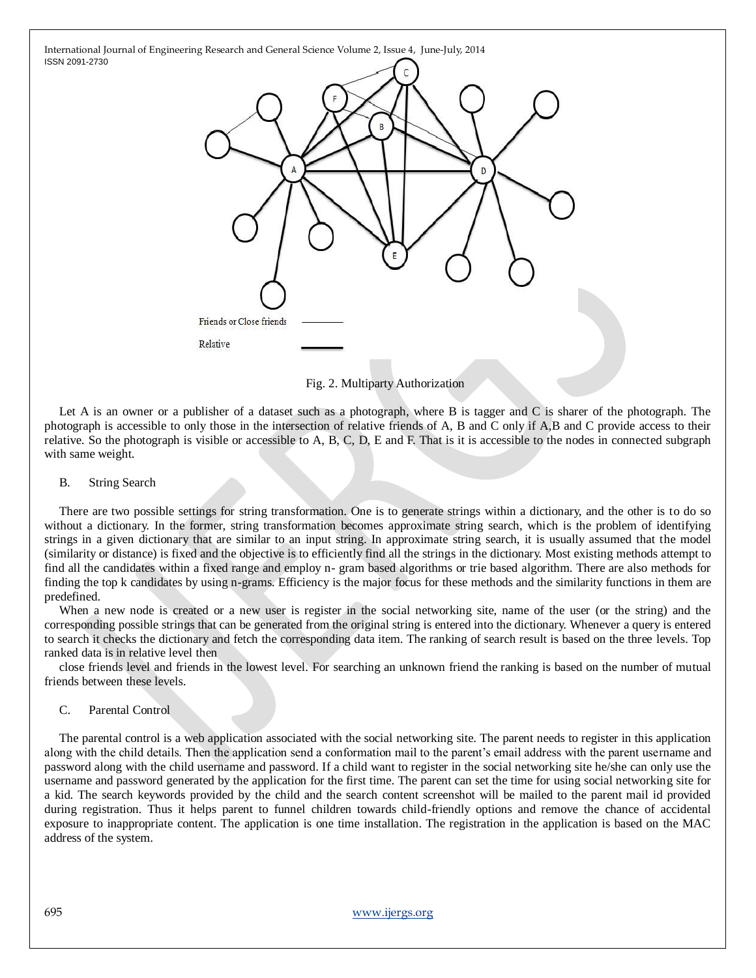

Fig. 2. Multiparty Authorization

Let A is an owner or a publisher of a dataset such as a photograph, where B is tagger and C is sharer of the photograph. The photograph is accessible to only those in the intersection of relative friends of A, B and C only if A,B and C provide access to their relative. So the photograph is visible or accessible to A, B, C, D, E and F. That is it is accessible to the nodes in connected subgraph with same weight.

### B. String Search

There are two possible settings for string transformation. One is to generate strings within a dictionary, and the other is to do so without a dictionary. In the former, string transformation becomes approximate string search, which is the problem of identifying strings in a given dictionary that are similar to an input string. In approximate string search, it is usually assumed that the model (similarity or distance) is fixed and the objective is to efficiently find all the strings in the dictionary. Most existing methods attempt to find all the candidates within a fixed range and employ n- gram based algorithms or trie based algorithm. There are also methods for finding the top k candidates by using n-grams. Efficiency is the major focus for these methods and the similarity functions in them are predefined.

When a new node is created or a new user is register in the social networking site, name of the user (or the string) and the corresponding possible strings that can be generated from the original string is entered into the dictionary. Whenever a query is entered to search it checks the dictionary and fetch the corresponding data item. The ranking of search result is based on the three levels. Top ranked data is in relative level then

close friends level and friends in the lowest level. For searching an unknown friend the ranking is based on the number of mutual friends between these levels.

### C. Parental Control

The parental control is a web application associated with the social networking site. The parent needs to register in this application along with the child details. Then the application send a conformation mail to the parent's email address with the parent username and password along with the child username and password. If a child want to register in the social networking site he/she can only use the username and password generated by the application for the first time. The parent can set the time for using social networking site for a kid. The search keywords provided by the child and the search content screenshot will be mailed to the parent mail id provided during registration. Thus it helps parent to funnel children towards child-friendly options and remove the chance of accidental exposure to inappropriate content. The application is one time installation. The registration in the application is based on the MAC address of the system.